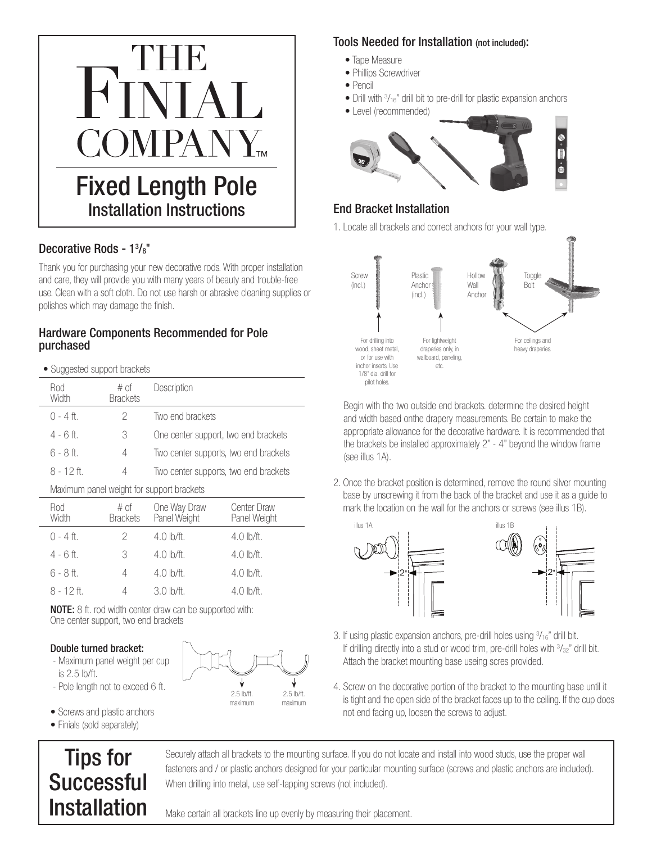

## Decorative Rods - 1<sup>3</sup>/<sub>8</sub>"

Thank you for purchasing your new decorative rods. With proper installation and care, they will provide you with many years of beauty and trouble-free use. Clean with a soft cloth. Do not use harsh or abrasive cleaning supplies or polishes which may damage the finish.

#### Hardware Components Recommended for Pole purchased

• Suggested support brackets

| Rod<br>Width | $#$ of<br><b>Brackets</b> | Description                           |  |
|--------------|---------------------------|---------------------------------------|--|
| $() - 4$ ft. | 2                         | Two end brackets                      |  |
| $4 - 6$ ft   | 3                         | One center support, two end brackets  |  |
| 6 - 8 ft     | 4                         | Two center supports, two end brackets |  |
| $8 - 12$ ft  | 4                         | Two center supports, two end brackets |  |

Maximum panel weight for support brackets

| Rod<br>Width | $#$ of<br><b>Brackets</b> | One Way Draw<br>Panel Weight | <b>Center Draw</b><br>Panel Weight |
|--------------|---------------------------|------------------------------|------------------------------------|
| $0 - 4$ ft.  | 2                         | $4.0 \,$ lb/ft.              | $4.0$ lb/ft.                       |
| $4 - 6$ ft.  | 3                         | $4.0 \, h/ft.$               | $4.0 \,$ lb/ft.                    |
| $6 - 8$ ft.  |                           | $4.0 \,$ lb/ft.              | $4.0$ lb/ft.                       |
| $8 - 12$ ft. |                           | $3.0 \, h/ft.$               | $4.0 \,$ lb/ft.                    |

Description

Initial Release

NOTE: 8 ft. rod width center draw can be supported with: One center support, two end brackets

#### Double turned bracket:

- Maximum panel weight per cup
- is 2.5 lb/ft.
- Pole length not to exceed 6 ft.
- Screws and plastic anchors
- Finials (sold separately)

# Tips for Successful Installation

Securely attach all brackets to the mounting surface. If you do not locate and install into wood studs, use the proper wall fasteners and / or plastic anchors designed for your particular mounting surface (screws and plastic anchors are included). Date Approved  $\Gamma$ |<br>|<br>|  $\frac{1}{2}$ TFC M S<br>System Administrator<br>
System Administrator<br>
System Administrator<br>
System Administrator<br>
System Administrator<br>
System Administrator<br>
System Administrator<br>
System Administrator<br>
System Administrator<br>
System Administrator<br> The internal<br>This document<br>Includes and related materials, including materials, including materials, including materials, including mater<br>Including materials, including materials, including materials, including materials, property of Rowley Company, Lec, and or its subsidiary results in the company, Rowley Company, American School  $\frac{1}{2}$ t<br>1<br>J When drilling into metal, use self-tapping screws (not included).

#### Tools Needed for Installation (not included):

- Tape Measure
- Phillips Screwdriver
- Pencil
- Drill with  $\frac{3}{16}$ " drill bit to pre-drill for plastic expansion anchors
- Level (recommended)



## End Bracket Installation

1. Locate all brackets and correct anchors for your wall type.



 Begin with the two outside end brackets. determine the desired height and width based onthe drapery measurements. Be certain to make the appropriate allowance for the decorative hardware. It is recommended that the brackets be installed approximately 2" - 4" beyond the window frame (see illus 1A).

2. Once the bracket position is determined, remove the round silver mounting base by unscrewing it from the back of the bracket and use it as a guide to mark the location on the wall for the anchors or screws (see illus 1B).



3. If using plastic expansion anchors, pre-drill holes using 3 /16" drill bit. If drilling directly into a stud or wood trim, pre-drill holes with  $\frac{3}{32}$ " drill bit. Attach the bracket mounting base useing scres provided.

4. Screw on the decorative portion of the bracket to the mounting base until it is tight and the open side of the bracket faces up to the ceiling. If the cup does not end facing up, loosen the screws to adjust.

Make certain all brackets line up evenly by measuring their placement.

granted to others.